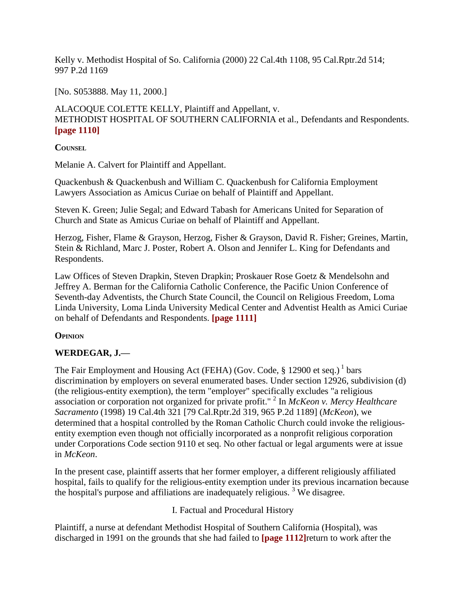Kelly v. Methodist Hospital of So. California (2000) 22 Cal.4th 1108, 95 Cal.Rptr.2d 514; 997 P.2d 1169

[No. S053888. May 11, 2000.]

ALACOQUE COLETTE KELLY, Plaintiff and Appellant, v. METHODIST HOSPITAL OF SOUTHERN CALIFORNIA et al., Defendants and Respondents. **[page 1110]**

**COUNSEL**

Melanie A. Calvert for Plaintiff and Appellant.

Quackenbush & Quackenbush and William C. Quackenbush for California Employment Lawyers Association as Amicus Curiae on behalf of Plaintiff and Appellant.

Steven K. Green; Julie Segal; and Edward Tabash for Americans United for Separation of Church and State as Amicus Curiae on behalf of Plaintiff and Appellant.

Herzog, Fisher, Flame & Grayson, Herzog, Fisher & Grayson, David R. Fisher; Greines, Martin, Stein & Richland, Marc J. Poster, Robert A. Olson and Jennifer L. King for Defendants and Respondents.

Law Offices of Steven Drapkin, Steven Drapkin; Proskauer Rose Goetz & Mendelsohn and Jeffrey A. Berman for the California Catholic Conference, the Pacific Union Conference of Seventh-day Adventists, the Church State Council, the Council on Religious Freedom, Loma Linda University, Loma Linda University Medical Center and Adventist Health as Amici Curiae on behalf of Defendants and Respondents. **[page 1111]**

## **OPINION**

## **WERDEGAR, J.—**

The Fair Employment and Housing Act (FEHA) (Gov. Code,  $\S$  12900 et seq.)<sup>1</sup> bars discrimination by employers on several enumerated bases. Under section 12926, subdivision (d) (the religious-entity exemption), the term "employer" specifically excludes "a religious association or corporation not organized for private profit." <sup>2</sup> In *McKeon v. Mercy Healthcare Sacramento* (1998) 19 Cal.4th 321 [79 Cal.Rptr.2d 319, 965 P.2d 1189] (*McKeon*), we determined that a hospital controlled by the Roman Catholic Church could invoke the religiousentity exemption even though not officially incorporated as a nonprofit religious corporation under Corporations Code section 9110 et seq. No other factual or legal arguments were at issue in *McKeon*.

In the present case, plaintiff asserts that her former employer, a different religiously affiliated hospital, fails to qualify for the religious-entity exemption under its previous incarnation because the hospital's purpose and affiliations are inadequately religious.<sup>3</sup> We disagree.

I. Factual and Procedural History

Plaintiff, a nurse at defendant Methodist Hospital of Southern California (Hospital), was discharged in 1991 on the grounds that she had failed to **[page 1112]**return to work after the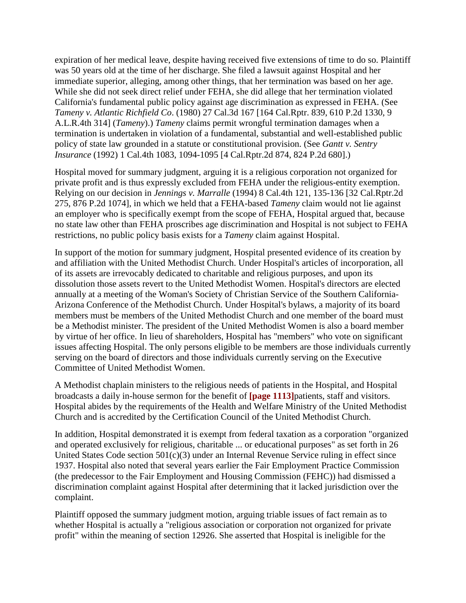expiration of her medical leave, despite having received five extensions of time to do so. Plaintiff was 50 years old at the time of her discharge. She filed a lawsuit against Hospital and her immediate superior, alleging, among other things, that her termination was based on her age. While she did not seek direct relief under FEHA, she did allege that her termination violated California's fundamental public policy against age discrimination as expressed in FEHA. (See *Tameny v. Atlantic Richfield Co*. (1980) 27 Cal.3d 167 [164 Cal.Rptr. 839, 610 P.2d 1330, 9 A.L.R.4th 314] (*Tameny*).) *Tameny* claims permit wrongful termination damages when a termination is undertaken in violation of a fundamental, substantial and well-established public policy of state law grounded in a statute or constitutional provision. (See *Gantt v. Sentry Insurance* (1992) 1 Cal.4th 1083, 1094-1095 [4 Cal.Rptr.2d 874, 824 P.2d 680].)

Hospital moved for summary judgment, arguing it is a religious corporation not organized for private profit and is thus expressly excluded from FEHA under the religious-entity exemption. Relying on our decision in *Jennings v. Marralle* (1994) 8 Cal.4th 121, 135-136 [32 Cal.Rptr.2d 275, 876 P.2d 1074], in which we held that a FEHA-based *Tameny* claim would not lie against an employer who is specifically exempt from the scope of FEHA, Hospital argued that, because no state law other than FEHA proscribes age discrimination and Hospital is not subject to FEHA restrictions, no public policy basis exists for a *Tameny* claim against Hospital.

In support of the motion for summary judgment, Hospital presented evidence of its creation by and affiliation with the United Methodist Church. Under Hospital's articles of incorporation, all of its assets are irrevocably dedicated to charitable and religious purposes, and upon its dissolution those assets revert to the United Methodist Women. Hospital's directors are elected annually at a meeting of the Woman's Society of Christian Service of the Southern California-Arizona Conference of the Methodist Church. Under Hospital's bylaws, a majority of its board members must be members of the United Methodist Church and one member of the board must be a Methodist minister. The president of the United Methodist Women is also a board member by virtue of her office. In lieu of shareholders, Hospital has "members" who vote on significant issues affecting Hospital. The only persons eligible to be members are those individuals currently serving on the board of directors and those individuals currently serving on the Executive Committee of United Methodist Women.

A Methodist chaplain ministers to the religious needs of patients in the Hospital, and Hospital broadcasts a daily in-house sermon for the benefit of **[page 1113]**patients, staff and visitors. Hospital abides by the requirements of the Health and Welfare Ministry of the United Methodist Church and is accredited by the Certification Council of the United Methodist Church.

In addition, Hospital demonstrated it is exempt from federal taxation as a corporation "organized and operated exclusively for religious, charitable ... or educational purposes" as set forth in 26 United States Code section  $501(c)(3)$  under an Internal Revenue Service ruling in effect since 1937. Hospital also noted that several years earlier the Fair Employment Practice Commission (the predecessor to the Fair Employment and Housing Commission (FEHC)) had dismissed a discrimination complaint against Hospital after determining that it lacked jurisdiction over the complaint.

Plaintiff opposed the summary judgment motion, arguing triable issues of fact remain as to whether Hospital is actually a "religious association or corporation not organized for private profit" within the meaning of section 12926. She asserted that Hospital is ineligible for the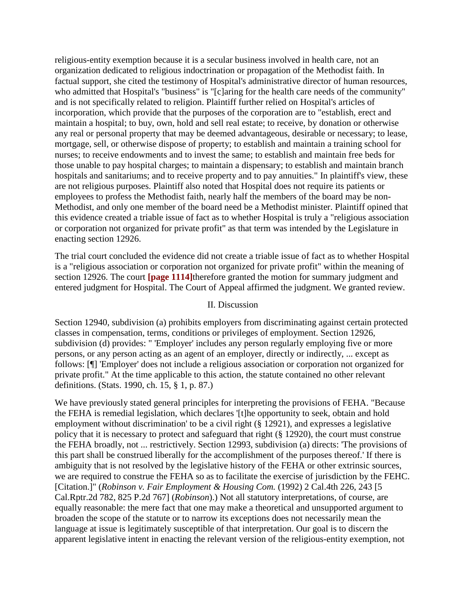religious-entity exemption because it is a secular business involved in health care, not an organization dedicated to religious indoctrination or propagation of the Methodist faith. In factual support, she cited the testimony of Hospital's administrative director of human resources, who admitted that Hospital's "business" is "[c]aring for the health care needs of the community" and is not specifically related to religion. Plaintiff further relied on Hospital's articles of incorporation, which provide that the purposes of the corporation are to "establish, erect and maintain a hospital; to buy, own, hold and sell real estate; to receive, by donation or otherwise any real or personal property that may be deemed advantageous, desirable or necessary; to lease, mortgage, sell, or otherwise dispose of property; to establish and maintain a training school for nurses; to receive endowments and to invest the same; to establish and maintain free beds for those unable to pay hospital charges; to maintain a dispensary; to establish and maintain branch hospitals and sanitariums; and to receive property and to pay annuities." In plaintiff's view, these are not religious purposes. Plaintiff also noted that Hospital does not require its patients or employees to profess the Methodist faith, nearly half the members of the board may be non-Methodist, and only one member of the board need be a Methodist minister. Plaintiff opined that this evidence created a triable issue of fact as to whether Hospital is truly a "religious association or corporation not organized for private profit" as that term was intended by the Legislature in enacting section 12926.

The trial court concluded the evidence did not create a triable issue of fact as to whether Hospital is a "religious association or corporation not organized for private profit" within the meaning of section 12926. The court **[page 1114]**therefore granted the motion for summary judgment and entered judgment for Hospital. The Court of Appeal affirmed the judgment. We granted review.

## II. Discussion

Section 12940, subdivision (a) prohibits employers from discriminating against certain protected classes in compensation, terms, conditions or privileges of employment. Section 12926, subdivision (d) provides: " 'Employer' includes any person regularly employing five or more persons, or any person acting as an agent of an employer, directly or indirectly, ... except as follows: [¶] 'Employer' does not include a religious association or corporation not organized for private profit." At the time applicable to this action, the statute contained no other relevant definitions. (Stats. 1990, ch. 15, § 1, p. 87.)

We have previously stated general principles for interpreting the provisions of FEHA. "Because the FEHA is remedial legislation, which declares '[t]he opportunity to seek, obtain and hold employment without discrimination' to be a civil right (§ 12921), and expresses a legislative policy that it is necessary to protect and safeguard that right (§ 12920), the court must construe the FEHA broadly, not ... restrictively. Section 12993, subdivision (a) directs: 'The provisions of this part shall be construed liberally for the accomplishment of the purposes thereof.' If there is ambiguity that is not resolved by the legislative history of the FEHA or other extrinsic sources, we are required to construe the FEHA so as to facilitate the exercise of jurisdiction by the FEHC. [Citation.]" (*Robinson v. Fair Employment & Housing Com.* (1992) 2 Cal.4th 226, 243 [5 Cal.Rptr.2d 782, 825 P.2d 767] (*Robinson*).) Not all statutory interpretations, of course, are equally reasonable: the mere fact that one may make a theoretical and unsupported argument to broaden the scope of the statute or to narrow its exceptions does not necessarily mean the language at issue is legitimately susceptible of that interpretation. Our goal is to discern the apparent legislative intent in enacting the relevant version of the religious-entity exemption, not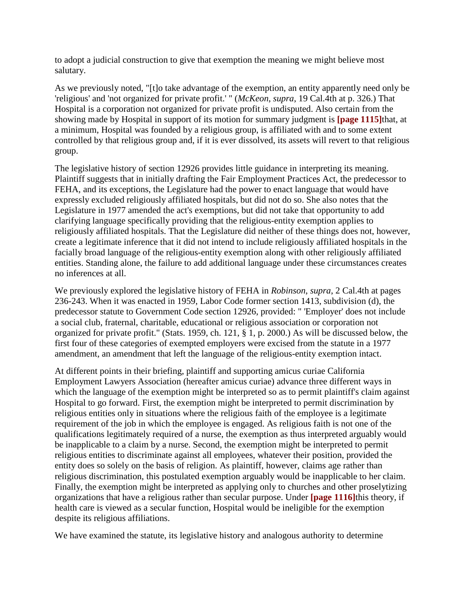to adopt a judicial construction to give that exemption the meaning we might believe most salutary.

As we previously noted, "[t]o take advantage of the exemption, an entity apparently need only be 'religious' and 'not organized for private profit.' " (*McKeon*, *supra*, 19 Cal.4th at p. 326.) That Hospital is a corporation not organized for private profit is undisputed. Also certain from the showing made by Hospital in support of its motion for summary judgment is **[page 1115]**that, at a minimum, Hospital was founded by a religious group, is affiliated with and to some extent controlled by that religious group and, if it is ever dissolved, its assets will revert to that religious group.

The legislative history of section 12926 provides little guidance in interpreting its meaning. Plaintiff suggests that in initially drafting the Fair Employment Practices Act, the predecessor to FEHA, and its exceptions, the Legislature had the power to enact language that would have expressly excluded religiously affiliated hospitals, but did not do so. She also notes that the Legislature in 1977 amended the act's exemptions, but did not take that opportunity to add clarifying language specifically providing that the religious-entity exemption applies to religiously affiliated hospitals. That the Legislature did neither of these things does not, however, create a legitimate inference that it did not intend to include religiously affiliated hospitals in the facially broad language of the religious-entity exemption along with other religiously affiliated entities. Standing alone, the failure to add additional language under these circumstances creates no inferences at all.

We previously explored the legislative history of FEHA in *Robinson*, *supra*, 2 Cal.4th at pages 236-243. When it was enacted in 1959, Labor Code former section 1413, subdivision (d), the predecessor statute to Government Code section 12926, provided: " 'Employer' does not include a social club, fraternal, charitable, educational or religious association or corporation not organized for private profit." (Stats. 1959, ch. 121, § 1, p. 2000.) As will be discussed below, the first four of these categories of exempted employers were excised from the statute in a 1977 amendment, an amendment that left the language of the religious-entity exemption intact.

At different points in their briefing, plaintiff and supporting amicus curiae California Employment Lawyers Association (hereafter amicus curiae) advance three different ways in which the language of the exemption might be interpreted so as to permit plaintiff's claim against Hospital to go forward. First, the exemption might be interpreted to permit discrimination by religious entities only in situations where the religious faith of the employee is a legitimate requirement of the job in which the employee is engaged. As religious faith is not one of the qualifications legitimately required of a nurse, the exemption as thus interpreted arguably would be inapplicable to a claim by a nurse. Second, the exemption might be interpreted to permit religious entities to discriminate against all employees, whatever their position, provided the entity does so solely on the basis of religion. As plaintiff, however, claims age rather than religious discrimination, this postulated exemption arguably would be inapplicable to her claim. Finally, the exemption might be interpreted as applying only to churches and other proselytizing organizations that have a religious rather than secular purpose. Under **[page 1116]**this theory, if health care is viewed as a secular function, Hospital would be ineligible for the exemption despite its religious affiliations.

We have examined the statute, its legislative history and analogous authority to determine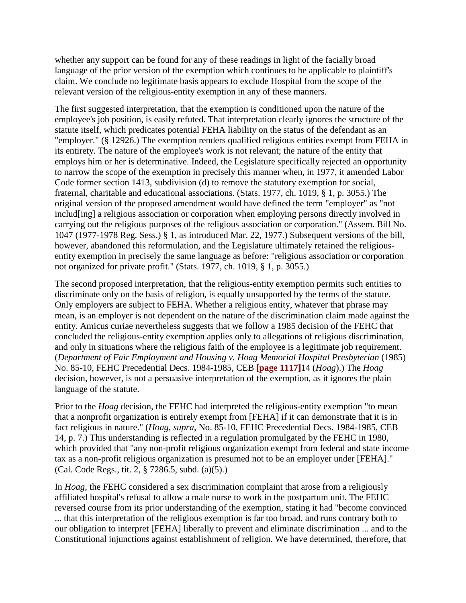whether any support can be found for any of these readings in light of the facially broad language of the prior version of the exemption which continues to be applicable to plaintiff's claim. We conclude no legitimate basis appears to exclude Hospital from the scope of the relevant version of the religious-entity exemption in any of these manners.

The first suggested interpretation, that the exemption is conditioned upon the nature of the employee's job position, is easily refuted. That interpretation clearly ignores the structure of the statute itself, which predicates potential FEHA liability on the status of the defendant as an "employer." (§ 12926.) The exemption renders qualified religious entities exempt from FEHA in its entirety. The nature of the employee's work is not relevant; the nature of the entity that employs him or her is determinative. Indeed, the Legislature specifically rejected an opportunity to narrow the scope of the exemption in precisely this manner when, in 1977, it amended Labor Code former section 1413, subdivision (d) to remove the statutory exemption for social, fraternal, charitable and educational associations. (Stats. 1977, ch. 1019, § 1, p. 3055.) The original version of the proposed amendment would have defined the term "employer" as "not includ[ing] a religious association or corporation when employing persons directly involved in carrying out the religious purposes of the religious association or corporation." (Assem. Bill No. 1047 (1977-1978 Reg. Sess.) § 1, as introduced Mar. 22, 1977.) Subsequent versions of the bill, however, abandoned this reformulation, and the Legislature ultimately retained the religiousentity exemption in precisely the same language as before: "religious association or corporation not organized for private profit." (Stats. 1977, ch. 1019, § 1, p. 3055.)

The second proposed interpretation, that the religious-entity exemption permits such entities to discriminate only on the basis of religion, is equally unsupported by the terms of the statute. Only employers are subject to FEHA. Whether a religious entity, whatever that phrase may mean, is an employer is not dependent on the nature of the discrimination claim made against the entity. Amicus curiae nevertheless suggests that we follow a 1985 decision of the FEHC that concluded the religious-entity exemption applies only to allegations of religious discrimination, and only in situations where the religious faith of the employee is a legitimate job requirement. (*Department of Fair Employment and Housing v. Hoag Memorial Hospital Presbyterian* (1985) No. 85-10, FEHC Precedential Decs. 1984-1985, CEB **[page 1117]**14 (*Hoag*).) The *Hoag* decision, however, is not a persuasive interpretation of the exemption, as it ignores the plain language of the statute.

Prior to the *Hoag* decision, the FEHC had interpreted the religious-entity exemption "to mean that a nonprofit organization is entirely exempt from [FEHA] if it can demonstrate that it is in fact religious in nature." (*Hoag*, *supra*, No. 85-10, FEHC Precedential Decs. 1984-1985, CEB 14, p. 7.) This understanding is reflected in a regulation promulgated by the FEHC in 1980, which provided that "any non-profit religious organization exempt from federal and state income tax as a non-profit religious organization is presumed not to be an employer under [FEHA]." (Cal. Code Regs., tit. 2, § 7286.5, subd. (a)(5).)

In *Hoag*, the FEHC considered a sex discrimination complaint that arose from a religiously affiliated hospital's refusal to allow a male nurse to work in the postpartum unit. The FEHC reversed course from its prior understanding of the exemption, stating it had "become convinced ... that this interpretation of the religious exemption is far too broad, and runs contrary both to our obligation to interpret [FEHA] liberally to prevent and eliminate discrimination ... and to the Constitutional injunctions against establishment of religion. We have determined, therefore, that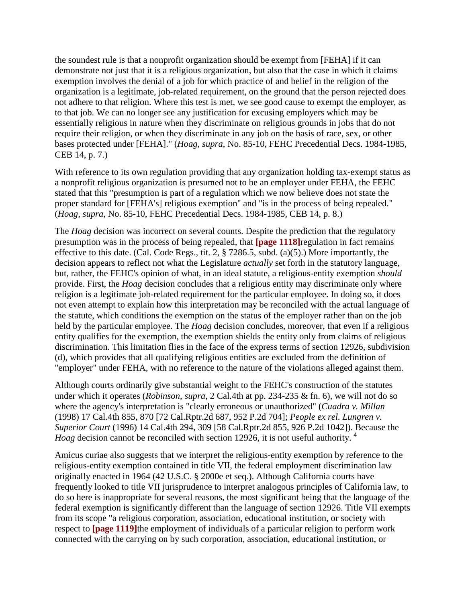the soundest rule is that a nonprofit organization should be exempt from [FEHA] if it can demonstrate not just that it is a religious organization, but also that the case in which it claims exemption involves the denial of a job for which practice of and belief in the religion of the organization is a legitimate, job-related requirement, on the ground that the person rejected does not adhere to that religion. Where this test is met, we see good cause to exempt the employer, as to that job. We can no longer see any justification for excusing employers which may be essentially religious in nature when they discriminate on religious grounds in jobs that do not require their religion, or when they discriminate in any job on the basis of race, sex, or other bases protected under [FEHA]." (*Hoag*, *supra*, No. 85-10, FEHC Precedential Decs. 1984-1985, CEB 14, p. 7.)

With reference to its own regulation providing that any organization holding tax-exempt status as a nonprofit religious organization is presumed not to be an employer under FEHA, the FEHC stated that this "presumption is part of a regulation which we now believe does not state the proper standard for [FEHA's] religious exemption" and "is in the process of being repealed." (*Hoag*, *supra*, No. 85-10, FEHC Precedential Decs. 1984-1985, CEB 14, p. 8.)

The *Hoag* decision was incorrect on several counts. Despite the prediction that the regulatory presumption was in the process of being repealed, that **[page 1118]**regulation in fact remains effective to this date. (Cal. Code Regs., tit. 2, § 7286.5, subd. (a)(5).) More importantly, the decision appears to reflect not what the Legislature *actually* set forth in the statutory language, but, rather, the FEHC's opinion of what, in an ideal statute, a religious-entity exemption *should* provide. First, the *Hoag* decision concludes that a religious entity may discriminate only where religion is a legitimate job-related requirement for the particular employee. In doing so, it does not even attempt to explain how this interpretation may be reconciled with the actual language of the statute, which conditions the exemption on the status of the employer rather than on the job held by the particular employee. The *Hoag* decision concludes, moreover, that even if a religious entity qualifies for the exemption, the exemption shields the entity only from claims of religious discrimination. This limitation flies in the face of the express terms of section 12926, subdivision (d), which provides that all qualifying religious entities are excluded from the definition of "employer" under FEHA, with no reference to the nature of the violations alleged against them.

Although courts ordinarily give substantial weight to the FEHC's construction of the statutes under which it operates (*Robinson*, *supra*, 2 Cal.4th at pp. 234-235 & fn. 6), we will not do so where the agency's interpretation is "clearly erroneous or unauthorized" (*Cuadra v. Millan* (1998) 17 Cal.4th 855, 870 [72 Cal.Rptr.2d 687, 952 P.2d 704]; *People ex rel. Lungren v. Superior Court* (1996) 14 Cal.4th 294, 309 [58 Cal.Rptr.2d 855, 926 P.2d 1042]). Because the *Hoag* decision cannot be reconciled with section 12926, it is not useful authority.<sup>4</sup>

Amicus curiae also suggests that we interpret the religious-entity exemption by reference to the religious-entity exemption contained in title VII, the federal employment discrimination law originally enacted in 1964 (42 U.S.C. § 2000e et seq.). Although California courts have frequently looked to title VII jurisprudence to interpret analogous principles of California law, to do so here is inappropriate for several reasons, the most significant being that the language of the federal exemption is significantly different than the language of section 12926. Title VII exempts from its scope "a religious corporation, association, educational institution, or society with respect to **[page 1119]**the employment of individuals of a particular religion to perform work connected with the carrying on by such corporation, association, educational institution, or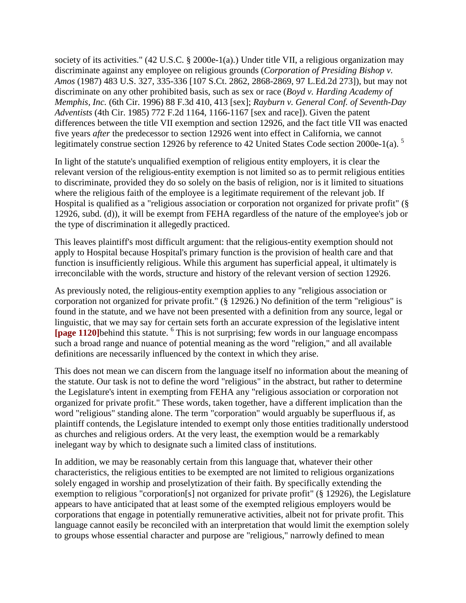society of its activities." (42 U.S.C. § 2000e-1(a).) Under title VII, a religious organization may discriminate against any employee on religious grounds (*Corporation of Presiding Bishop v. Amos* (1987) 483 U.S. 327, 335-336 [107 S.Ct. 2862, 2868-2869, 97 L.Ed.2d 273]), but may not discriminate on any other prohibited basis, such as sex or race (*Boyd v. Harding Academy of Memphis, Inc.* (6th Cir. 1996) 88 F.3d 410, 413 [sex]; *Rayburn v. General Conf. of Seventh-Day Adventists* (4th Cir. 1985) 772 F.2d 1164, 1166-1167 [sex and race]). Given the patent differences between the title VII exemption and section 12926, and the fact title VII was enacted five years *after* the predecessor to section 12926 went into effect in California, we cannot legitimately construe section 12926 by reference to 42 United States Code section 2000e-1(a).<sup>5</sup>

In light of the statute's unqualified exemption of religious entity employers, it is clear the relevant version of the religious-entity exemption is not limited so as to permit religious entities to discriminate, provided they do so solely on the basis of religion, nor is it limited to situations where the religious faith of the employee is a legitimate requirement of the relevant job. If Hospital is qualified as a "religious association or corporation not organized for private profit" (§ 12926, subd. (d)), it will be exempt from FEHA regardless of the nature of the employee's job or the type of discrimination it allegedly practiced.

This leaves plaintiff's most difficult argument: that the religious-entity exemption should not apply to Hospital because Hospital's primary function is the provision of health care and that function is insufficiently religious. While this argument has superficial appeal, it ultimately is irreconcilable with the words, structure and history of the relevant version of section 12926.

As previously noted, the religious-entity exemption applies to any "religious association or corporation not organized for private profit." (§ 12926.) No definition of the term "religious" is found in the statute, and we have not been presented with a definition from any source, legal or linguistic, that we may say for certain sets forth an accurate expression of the legislative intent [page 1120]behind this statute. <sup>6</sup> This is not surprising; few words in our language encompass such a broad range and nuance of potential meaning as the word "religion," and all available definitions are necessarily influenced by the context in which they arise.

This does not mean we can discern from the language itself no information about the meaning of the statute. Our task is not to define the word "religious" in the abstract, but rather to determine the Legislature's intent in exempting from FEHA any "religious association or corporation not organized for private profit." These words, taken together, have a different implication than the word "religious" standing alone. The term "corporation" would arguably be superfluous if, as plaintiff contends, the Legislature intended to exempt only those entities traditionally understood as churches and religious orders. At the very least, the exemption would be a remarkably inelegant way by which to designate such a limited class of institutions.

In addition, we may be reasonably certain from this language that, whatever their other characteristics, the religious entities to be exempted are not limited to religious organizations solely engaged in worship and proselytization of their faith. By specifically extending the exemption to religious "corporation[s] not organized for private profit" (§ 12926), the Legislature appears to have anticipated that at least some of the exempted religious employers would be corporations that engage in potentially remunerative activities, albeit not for private profit. This language cannot easily be reconciled with an interpretation that would limit the exemption solely to groups whose essential character and purpose are "religious," narrowly defined to mean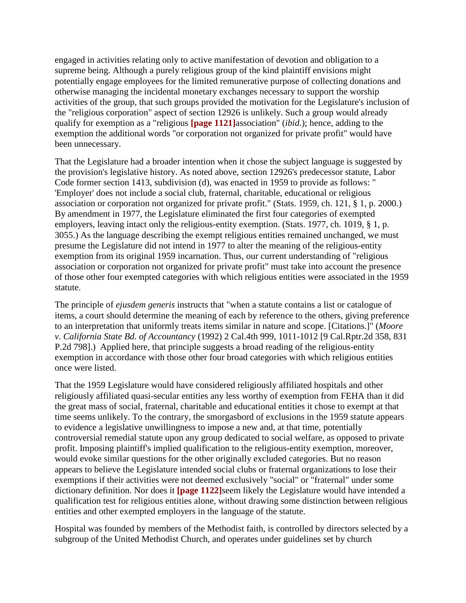engaged in activities relating only to active manifestation of devotion and obligation to a supreme being. Although a purely religious group of the kind plaintiff envisions might potentially engage employees for the limited remunerative purpose of collecting donations and otherwise managing the incidental monetary exchanges necessary to support the worship activities of the group, that such groups provided the motivation for the Legislature's inclusion of the "religious corporation" aspect of section 12926 is unlikely. Such a group would already qualify for exemption as a "religious **[page 1121]**association" (*ibid.*); hence, adding to the exemption the additional words "or corporation not organized for private profit" would have been unnecessary.

That the Legislature had a broader intention when it chose the subject language is suggested by the provision's legislative history. As noted above, section 12926's predecessor statute, Labor Code former section 1413, subdivision (d), was enacted in 1959 to provide as follows: " 'Employer' does not include a social club, fraternal, charitable, educational or religious association or corporation not organized for private profit." (Stats. 1959, ch. 121, § 1, p. 2000.) By amendment in 1977, the Legislature eliminated the first four categories of exempted employers, leaving intact only the religious-entity exemption. (Stats. 1977, ch. 1019, § 1, p. 3055.) As the language describing the exempt religious entities remained unchanged, we must presume the Legislature did not intend in 1977 to alter the meaning of the religious-entity exemption from its original 1959 incarnation. Thus, our current understanding of "religious association or corporation not organized for private profit" must take into account the presence of those other four exempted categories with which religious entities were associated in the 1959 statute.

The principle of *ejusdem generis* instructs that "when a statute contains a list or catalogue of items, a court should determine the meaning of each by reference to the others, giving preference to an interpretation that uniformly treats items similar in nature and scope. [Citations.]" (*Moore v. California State Bd. of Accountancy* (1992) 2 Cal.4th 999, 1011-1012 [9 Cal.Rptr.2d 358, 831 P.2d 798].) Applied here, that principle suggests a broad reading of the religious-entity exemption in accordance with those other four broad categories with which religious entities once were listed.

That the 1959 Legislature would have considered religiously affiliated hospitals and other religiously affiliated quasi-secular entities any less worthy of exemption from FEHA than it did the great mass of social, fraternal, charitable and educational entities it chose to exempt at that time seems unlikely. To the contrary, the smorgasbord of exclusions in the 1959 statute appears to evidence a legislative unwillingness to impose a new and, at that time, potentially controversial remedial statute upon any group dedicated to social welfare, as opposed to private profit. Imposing plaintiff's implied qualification to the religious-entity exemption, moreover, would evoke similar questions for the other originally excluded categories. But no reason appears to believe the Legislature intended social clubs or fraternal organizations to lose their exemptions if their activities were not deemed exclusively "social" or "fraternal" under some dictionary definition. Nor does it **[page 1122]**seem likely the Legislature would have intended a qualification test for religious entities alone, without drawing some distinction between religious entities and other exempted employers in the language of the statute.

Hospital was founded by members of the Methodist faith, is controlled by directors selected by a subgroup of the United Methodist Church, and operates under guidelines set by church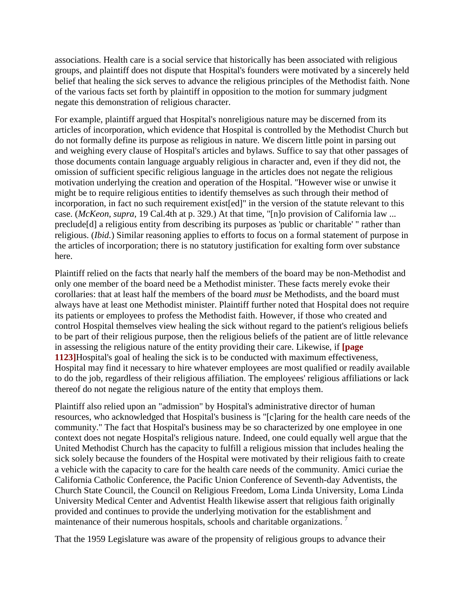associations. Health care is a social service that historically has been associated with religious groups, and plaintiff does not dispute that Hospital's founders were motivated by a sincerely held belief that healing the sick serves to advance the religious principles of the Methodist faith. None of the various facts set forth by plaintiff in opposition to the motion for summary judgment negate this demonstration of religious character.

For example, plaintiff argued that Hospital's nonreligious nature may be discerned from its articles of incorporation, which evidence that Hospital is controlled by the Methodist Church but do not formally define its purpose as religious in nature. We discern little point in parsing out and weighing every clause of Hospital's articles and bylaws. Suffice to say that other passages of those documents contain language arguably religious in character and, even if they did not, the omission of sufficient specific religious language in the articles does not negate the religious motivation underlying the creation and operation of the Hospital. "However wise or unwise it might be to require religious entities to identify themselves as such through their method of incorporation, in fact no such requirement exist[ed]" in the version of the statute relevant to this case. (*McKeon*, *supra*, 19 Cal.4th at p. 329.) At that time, "[n]o provision of California law ... preclude[d] a religious entity from describing its purposes as 'public or charitable' " rather than religious. (*Ibid.*) Similar reasoning applies to efforts to focus on a formal statement of purpose in the articles of incorporation; there is no statutory justification for exalting form over substance here.

Plaintiff relied on the facts that nearly half the members of the board may be non-Methodist and only one member of the board need be a Methodist minister. These facts merely evoke their corollaries: that at least half the members of the board *must* be Methodists, and the board must always have at least one Methodist minister. Plaintiff further noted that Hospital does not require its patients or employees to profess the Methodist faith. However, if those who created and control Hospital themselves view healing the sick without regard to the patient's religious beliefs to be part of their religious purpose, then the religious beliefs of the patient are of little relevance in assessing the religious nature of the entity providing their care. Likewise, if **[page 1123]**Hospital's goal of healing the sick is to be conducted with maximum effectiveness, Hospital may find it necessary to hire whatever employees are most qualified or readily available to do the job, regardless of their religious affiliation. The employees' religious affiliations or lack thereof do not negate the religious nature of the entity that employs them.

Plaintiff also relied upon an "admission" by Hospital's administrative director of human resources, who acknowledged that Hospital's business is "[c]aring for the health care needs of the community." The fact that Hospital's business may be so characterized by one employee in one context does not negate Hospital's religious nature. Indeed, one could equally well argue that the United Methodist Church has the capacity to fulfill a religious mission that includes healing the sick solely because the founders of the Hospital were motivated by their religious faith to create a vehicle with the capacity to care for the health care needs of the community. Amici curiae the California Catholic Conference, the Pacific Union Conference of Seventh-day Adventists, the Church State Council, the Council on Religious Freedom, Loma Linda University, Loma Linda University Medical Center and Adventist Health likewise assert that religious faith originally provided and continues to provide the underlying motivation for the establishment and maintenance of their numerous hospitals, schools and charitable organizations.<sup>7</sup>

That the 1959 Legislature was aware of the propensity of religious groups to advance their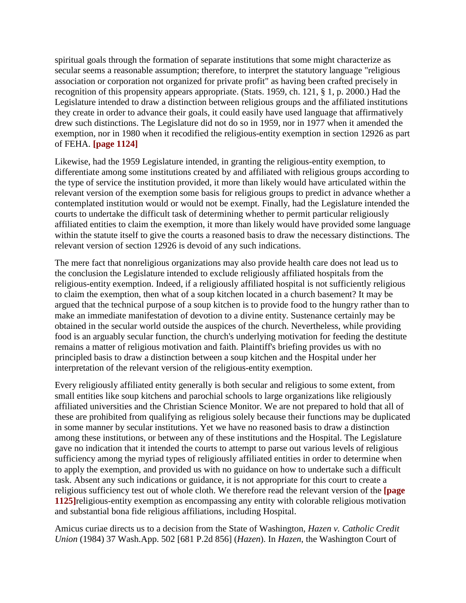spiritual goals through the formation of separate institutions that some might characterize as secular seems a reasonable assumption; therefore, to interpret the statutory language "religious association or corporation not organized for private profit" as having been crafted precisely in recognition of this propensity appears appropriate. (Stats. 1959, ch. 121, § 1, p. 2000.) Had the Legislature intended to draw a distinction between religious groups and the affiliated institutions they create in order to advance their goals, it could easily have used language that affirmatively drew such distinctions. The Legislature did not do so in 1959, nor in 1977 when it amended the exemption, nor in 1980 when it recodified the religious-entity exemption in section 12926 as part of FEHA. **[page 1124]**

Likewise, had the 1959 Legislature intended, in granting the religious-entity exemption, to differentiate among some institutions created by and affiliated with religious groups according to the type of service the institution provided, it more than likely would have articulated within the relevant version of the exemption some basis for religious groups to predict in advance whether a contemplated institution would or would not be exempt. Finally, had the Legislature intended the courts to undertake the difficult task of determining whether to permit particular religiously affiliated entities to claim the exemption, it more than likely would have provided some language within the statute itself to give the courts a reasoned basis to draw the necessary distinctions. The relevant version of section 12926 is devoid of any such indications.

The mere fact that nonreligious organizations may also provide health care does not lead us to the conclusion the Legislature intended to exclude religiously affiliated hospitals from the religious-entity exemption. Indeed, if a religiously affiliated hospital is not sufficiently religious to claim the exemption, then what of a soup kitchen located in a church basement? It may be argued that the technical purpose of a soup kitchen is to provide food to the hungry rather than to make an immediate manifestation of devotion to a divine entity. Sustenance certainly may be obtained in the secular world outside the auspices of the church. Nevertheless, while providing food is an arguably secular function, the church's underlying motivation for feeding the destitute remains a matter of religious motivation and faith. Plaintiff's briefing provides us with no principled basis to draw a distinction between a soup kitchen and the Hospital under her interpretation of the relevant version of the religious-entity exemption.

Every religiously affiliated entity generally is both secular and religious to some extent, from small entities like soup kitchens and parochial schools to large organizations like religiously affiliated universities and the Christian Science Monitor. We are not prepared to hold that all of these are prohibited from qualifying as religious solely because their functions may be duplicated in some manner by secular institutions. Yet we have no reasoned basis to draw a distinction among these institutions, or between any of these institutions and the Hospital. The Legislature gave no indication that it intended the courts to attempt to parse out various levels of religious sufficiency among the myriad types of religiously affiliated entities in order to determine when to apply the exemption, and provided us with no guidance on how to undertake such a difficult task. Absent any such indications or guidance, it is not appropriate for this court to create a religious sufficiency test out of whole cloth. We therefore read the relevant version of the **[page 1125]**religious-entity exemption as encompassing any entity with colorable religious motivation and substantial bona fide religious affiliations, including Hospital.

Amicus curiae directs us to a decision from the State of Washington, *Hazen v. Catholic Credit Union* (1984) 37 Wash.App. 502 [681 P.2d 856] (*Hazen*). In *Hazen*, the Washington Court of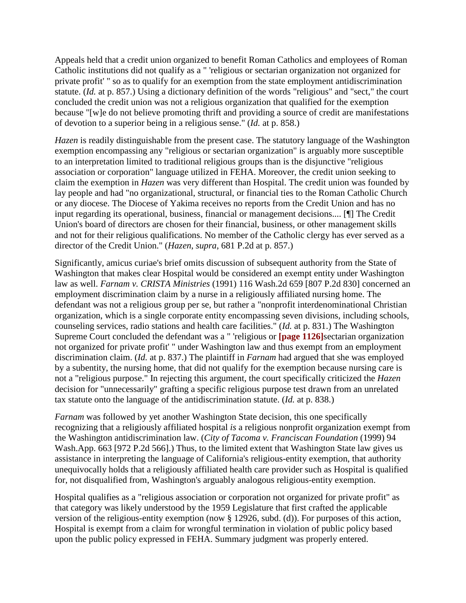Appeals held that a credit union organized to benefit Roman Catholics and employees of Roman Catholic institutions did not qualify as a " 'religious or sectarian organization not organized for private profit' " so as to qualify for an exemption from the state employment antidiscrimination statute. (*Id.* at p. 857.) Using a dictionary definition of the words "religious" and "sect," the court concluded the credit union was not a religious organization that qualified for the exemption because "[w]e do not believe promoting thrift and providing a source of credit are manifestations of devotion to a superior being in a religious sense." (*Id.* at p. 858.)

*Hazen* is readily distinguishable from the present case. The statutory language of the Washington exemption encompassing any "religious or sectarian organization" is arguably more susceptible to an interpretation limited to traditional religious groups than is the disjunctive "religious association or corporation" language utilized in FEHA. Moreover, the credit union seeking to claim the exemption in *Hazen* was very different than Hospital. The credit union was founded by lay people and had "no organizational, structural, or financial ties to the Roman Catholic Church or any diocese. The Diocese of Yakima receives no reports from the Credit Union and has no input regarding its operational, business, financial or management decisions.... [¶] The Credit Union's board of directors are chosen for their financial, business, or other management skills and not for their religious qualifications. No member of the Catholic clergy has ever served as a director of the Credit Union." (*Hazen*, *supra*, 681 P.2d at p. 857.)

Significantly, amicus curiae's brief omits discussion of subsequent authority from the State of Washington that makes clear Hospital would be considered an exempt entity under Washington law as well. *Farnam v. CRISTA Ministries* (1991) 116 Wash.2d 659 [807 P.2d 830] concerned an employment discrimination claim by a nurse in a religiously affiliated nursing home. The defendant was not a religious group per se, but rather a "nonprofit interdenominational Christian organization, which is a single corporate entity encompassing seven divisions, including schools, counseling services, radio stations and health care facilities." (*Id.* at p. 831.) The Washington Supreme Court concluded the defendant was a " 'religious or **[page 1126]**sectarian organization not organized for private profit' " under Washington law and thus exempt from an employment discrimination claim. (*Id.* at p. 837.) The plaintiff in *Farnam* had argued that she was employed by a subentity, the nursing home, that did not qualify for the exemption because nursing care is not a "religious purpose." In rejecting this argument, the court specifically criticized the *Hazen* decision for "unnecessarily" grafting a specific religious purpose test drawn from an unrelated tax statute onto the language of the antidiscrimination statute. (*Id.* at p. 838.)

*Farnam* was followed by yet another Washington State decision, this one specifically recognizing that a religiously affiliated hospital *is* a religious nonprofit organization exempt from the Washington antidiscrimination law. (*City of Tacoma v. Franciscan Foundation* (1999) 94 Wash.App. 663 [972 P.2d 566].) Thus, to the limited extent that Washington State law gives us assistance in interpreting the language of California's religious-entity exemption, that authority unequivocally holds that a religiously affiliated health care provider such as Hospital is qualified for, not disqualified from, Washington's arguably analogous religious-entity exemption.

Hospital qualifies as a "religious association or corporation not organized for private profit" as that category was likely understood by the 1959 Legislature that first crafted the applicable version of the religious-entity exemption (now § 12926, subd. (d)). For purposes of this action, Hospital is exempt from a claim for wrongful termination in violation of public policy based upon the public policy expressed in FEHA. Summary judgment was properly entered.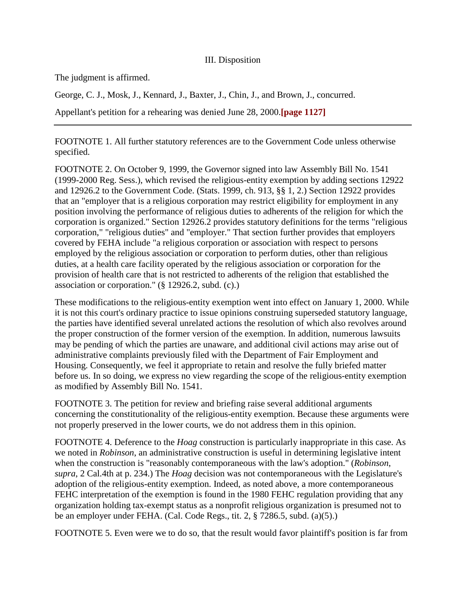## III. Disposition

The judgment is affirmed.

George, C. J., Mosk, J., Kennard, J., Baxter, J., Chin, J., and Brown, J., concurred.

Appellant's petition for a rehearing was denied June 28, 2000.**[page 1127]**

FOOTNOTE 1. All further statutory references are to the Government Code unless otherwise specified.

FOOTNOTE 2. On October 9, 1999, the Governor signed into law Assembly Bill No. 1541 (1999-2000 Reg. Sess.), which revised the religious-entity exemption by adding sections 12922 and 12926.2 to the Government Code. (Stats. 1999, ch. 913, §§ 1, 2.) Section 12922 provides that an "employer that is a religious corporation may restrict eligibility for employment in any position involving the performance of religious duties to adherents of the religion for which the corporation is organized." Section 12926.2 provides statutory definitions for the terms "religious corporation," "religious duties" and "employer." That section further provides that employers covered by FEHA include "a religious corporation or association with respect to persons employed by the religious association or corporation to perform duties, other than religious duties, at a health care facility operated by the religious association or corporation for the provision of health care that is not restricted to adherents of the religion that established the association or corporation." (§ 12926.2, subd. (c).)

These modifications to the religious-entity exemption went into effect on January 1, 2000. While it is not this court's ordinary practice to issue opinions construing superseded statutory language, the parties have identified several unrelated actions the resolution of which also revolves around the proper construction of the former version of the exemption. In addition, numerous lawsuits may be pending of which the parties are unaware, and additional civil actions may arise out of administrative complaints previously filed with the Department of Fair Employment and Housing. Consequently, we feel it appropriate to retain and resolve the fully briefed matter before us. In so doing, we express no view regarding the scope of the religious-entity exemption as modified by Assembly Bill No. 1541.

FOOTNOTE 3. The petition for review and briefing raise several additional arguments concerning the constitutionality of the religious-entity exemption. Because these arguments were not properly preserved in the lower courts, we do not address them in this opinion.

FOOTNOTE 4. Deference to the *Hoag* construction is particularly inappropriate in this case. As we noted in *Robinson*, an administrative construction is useful in determining legislative intent when the construction is "reasonably contemporaneous with the law's adoption." (*Robinson*, *supra*, 2 Cal.4th at p. 234.) The *Hoag* decision was not contemporaneous with the Legislature's adoption of the religious-entity exemption. Indeed, as noted above, a more contemporaneous FEHC interpretation of the exemption is found in the 1980 FEHC regulation providing that any organization holding tax-exempt status as a nonprofit religious organization is presumed not to be an employer under FEHA. (Cal. Code Regs., tit. 2, § 7286.5, subd. (a)(5).)

FOOTNOTE 5. Even were we to do so, that the result would favor plaintiff's position is far from